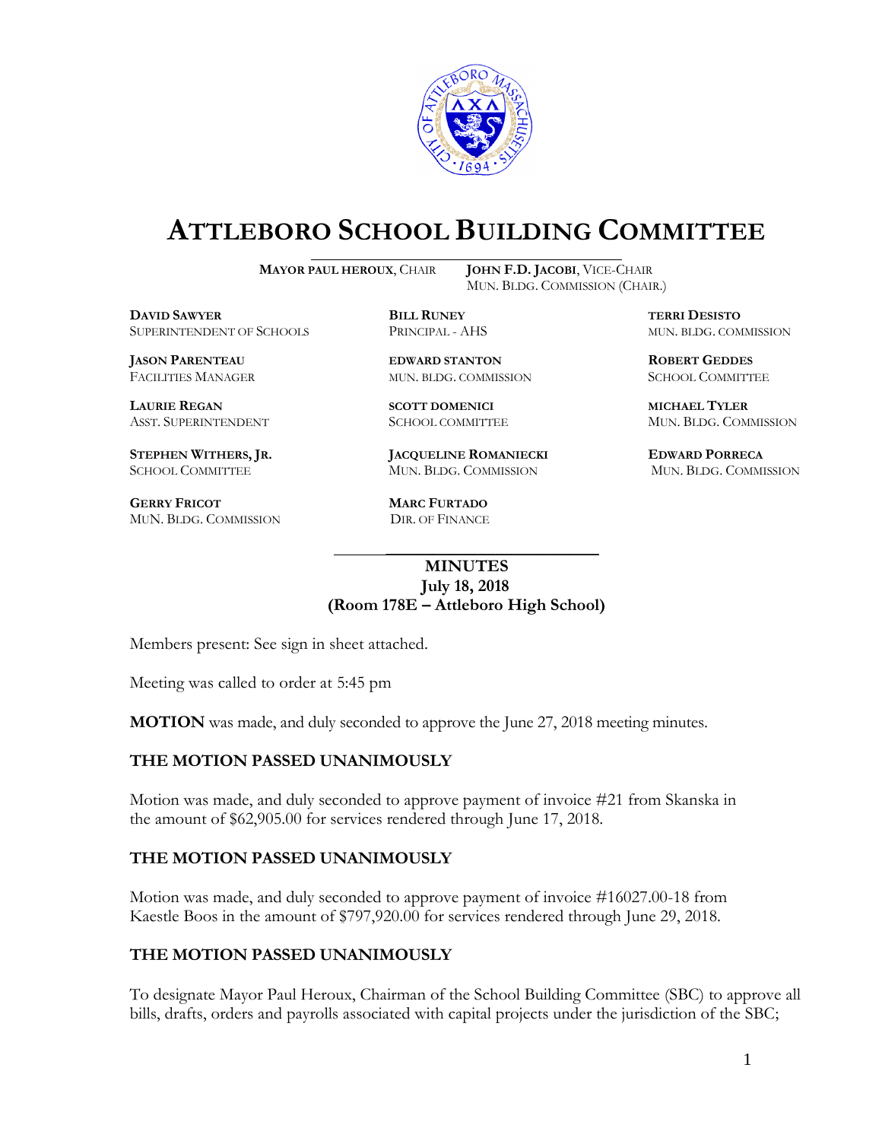

# **ATTLEBORO SCHOOL BUILDING COMMITTEE**

**MAYOR PAUL HEROUX**, CHAIR **JOHN F.D. JACOBI**, VICE-CHAIR

MUN. BLDG. COMMISSION (CHAIR.)

**DAVID SAWYER BILL RUNEY TERRI DESISTO** SUPERINTENDENT OF SCHOOLS PRINCIPAL - AHS MUN. BLDG. COMMISSION

**LAURIE REGAN SCOTT DOMENICI MICHAEL TYLER**

**GERRY FRICOT MARC FURTADO**  MUN. BLDG. COMMISSION DIR. OF FINANCE

**JASON PARENTEAU EDWARD STANTON ROBERT GEDDES** FACILITIES MANAGER MUN. BLDG. COMMISSION SCHOOL COMMITTEE

**STEPHEN WITHERS, JR. JACQUELINE ROMANIECKI EDWARD PORRECA** SCHOOL COMMITTEE MUN. BLDG. COMMISSION MUN. BLDG. COMMISSION

ASST. SUPERINTENDENT SCHOOL COMMITTEE MUN. BLDG. COMMISSION

### **MINUTES July 18, 2018 (Room 178E – Attleboro High School)**

\_\_\_\_\_\_\_\_\_\_\_\_\_\_\_\_\_\_\_\_\_\_\_\_\_\_\_\_\_\_\_\_\_\_\_\_\_

Members present: See sign in sheet attached.

Meeting was called to order at 5:45 pm

**MOTION** was made, and duly seconded to approve the June 27, 2018 meeting minutes.

#### **THE MOTION PASSED UNANIMOUSLY**

Motion was made, and duly seconded to approve payment of invoice #21 from Skanska in the amount of \$62,905.00 for services rendered through June 17, 2018.

#### **THE MOTION PASSED UNANIMOUSLY**

Motion was made, and duly seconded to approve payment of invoice #16027.00-18 from Kaestle Boos in the amount of \$797,920.00 for services rendered through June 29, 2018.

#### **THE MOTION PASSED UNANIMOUSLY**

To designate Mayor Paul Heroux, Chairman of the School Building Committee (SBC) to approve all bills, drafts, orders and payrolls associated with capital projects under the jurisdiction of the SBC;